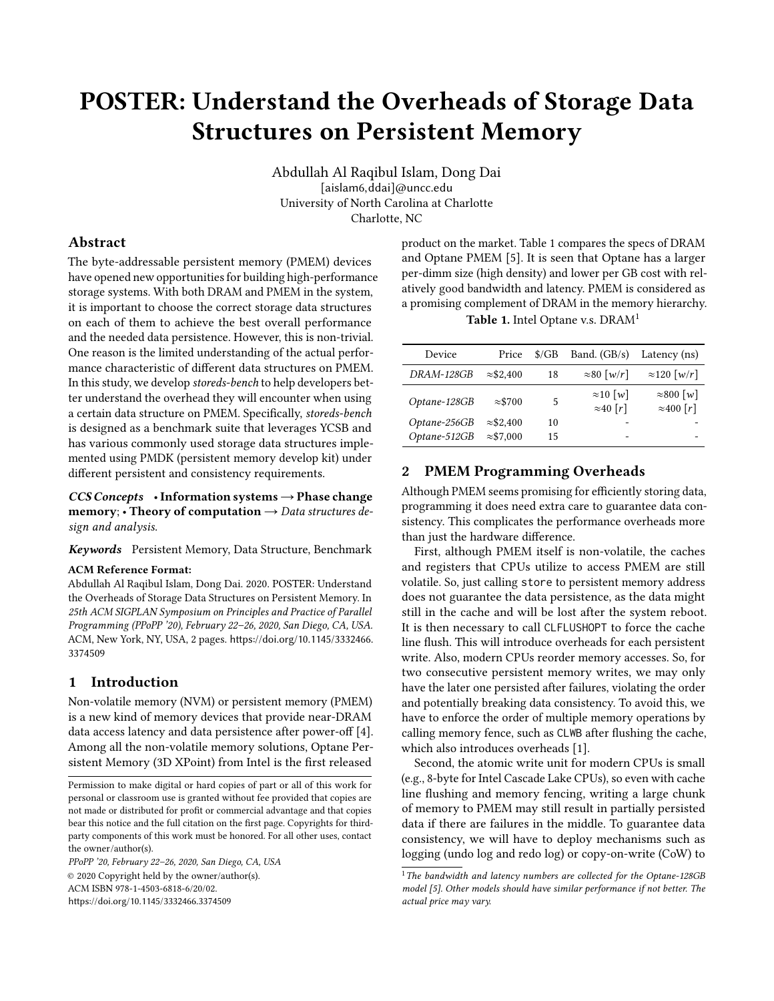# POSTER: Understand the Overheads of Storage Data Structures on Persistent Memory

Abdullah Al Raqibul Islam, Dong Dai [aislam6,ddai]@uncc.edu University of North Carolina at Charlotte Charlotte, NC

## Abstract

The byte-addressable persistent memory (PMEM) devices have opened new opportunities for building high-performance storage systems. With both DRAM and PMEM in the system, it is important to choose the correct storage data structures on each of them to achieve the best overall performance and the needed data persistence. However, this is non-trivial. One reason is the limited understanding of the actual performance characteristic of different data structures on PMEM. In this study, we develop storeds-bench to help developers better understand the overhead they will encounter when using a certain data structure on PMEM. Specifically, storeds-bench is designed as a benchmark suite that leverages YCSB and has various commonly used storage data structures implemented using PMDK (persistent memory develop kit) under different persistent and consistency requirements.

 $CCS$  Concepts •Information systems  $\rightarrow$  Phase change **memory;** • Theory of computation  $\rightarrow$  Data structures design and analysis.

Keywords Persistent Memory, Data Structure, Benchmark

#### ACM Reference Format:

Abdullah Al Raqibul Islam, Dong Dai. 2020. POSTER: Understand the Overheads of Storage Data Structures on Persistent Memory. In 25th ACM SIGPLAN Symposium on Principles and Practice of Parallel Programming (PPoPP '20), February 22–26, 2020, San Diego, CA, USA. ACM, New York, NY, USA, [2](#page-1-0) pages. [https://doi.org/10.1145/3332466.](https://doi.org/10.1145/3332466.3374509) [3374509](https://doi.org/10.1145/3332466.3374509)

## 1 Introduction

Non-volatile memory (NVM) or persistent memory (PMEM) is a new kind of memory devices that provide near-DRAM data access latency and data persistence after power-off [\[4\]](#page-1-1). Among all the non-volatile memory solutions, Optane Persistent Memory (3D XPoint) from Intel is the first released

PPoPP '20, February 22–26, 2020, San Diego, CA, USA © 2020 Copyright held by the owner/author(s). ACM ISBN 978-1-4503-6818-6/20/02. <https://doi.org/10.1145/3332466.3374509>

product on the market. Table [1](#page-0-0) compares the specs of DRAM and Optane PMEM [\[5\]](#page-1-2). It is seen that Optane has a larger per-dimm size (high density) and lower per GB cost with relatively good bandwidth and latency. PMEM is considered as a promising complement of DRAM in the memory hierarchy.

Table [1](#page-0-1). Intel Optane v.s. DRAM<sup>1</sup>

<span id="page-0-0"></span>

| Device       | Price             | $\frac{\text{C}}{\text{B}}$ | Band. $(GB/s)$                       | Latency (ns)                           |
|--------------|-------------------|-----------------------------|--------------------------------------|----------------------------------------|
| DRAM-128GB   | $\approx$ \$2,400 | 18                          | $\approx 80$ [w/r]                   | $\approx$ 120 [w/r]                    |
| Optane-128GB | $\approx$ \$700   | 5                           | $\approx 10$ [w]<br>$\approx 40$ [r] | $\approx 800$ [w]<br>$\approx$ 400 [r] |
| Optane-256GB | $\approx$ \$2,400 | 10                          |                                      |                                        |
| Optane-512GB | $\approx$ \$7,000 | 15                          | -                                    |                                        |

# 2 PMEM Programming Overheads

Although PMEM seems promising for efficiently storing data, programming it does need extra care to guarantee data consistency. This complicates the performance overheads more than just the hardware difference.

First, although PMEM itself is non-volatile, the caches and registers that CPUs utilize to access PMEM are still volatile. So, just calling store to persistent memory address does not guarantee the data persistence, as the data might still in the cache and will be lost after the system reboot. It is then necessary to call CLFLUSHOPT to force the cache line flush. This will introduce overheads for each persistent write. Also, modern CPUs reorder memory accesses. So, for two consecutive persistent memory writes, we may only have the later one persisted after failures, violating the order and potentially breaking data consistency. To avoid this, we have to enforce the order of multiple memory operations by calling memory fence, such as CLWB after flushing the cache, which also introduces overheads [\[1\]](#page-1-3).

Second, the atomic write unit for modern CPUs is small (e.g., 8-byte for Intel Cascade Lake CPUs), so even with cache line flushing and memory fencing, writing a large chunk of memory to PMEM may still result in partially persisted data if there are failures in the middle. To guarantee data consistency, we will have to deploy mechanisms such as logging (undo log and redo log) or copy-on-write (CoW) to

Permission to make digital or hard copies of part or all of this work for personal or classroom use is granted without fee provided that copies are not made or distributed for profit or commercial advantage and that copies bear this notice and the full citation on the first page. Copyrights for thirdparty components of this work must be honored. For all other uses, contact the owner/author(s).

<span id="page-0-1"></span> $1$ The bandwidth and latency numbers are collected for the Optane-128GB model [\[5\]](#page-1-2). Other models should have similar performance if not better. The actual price may vary.